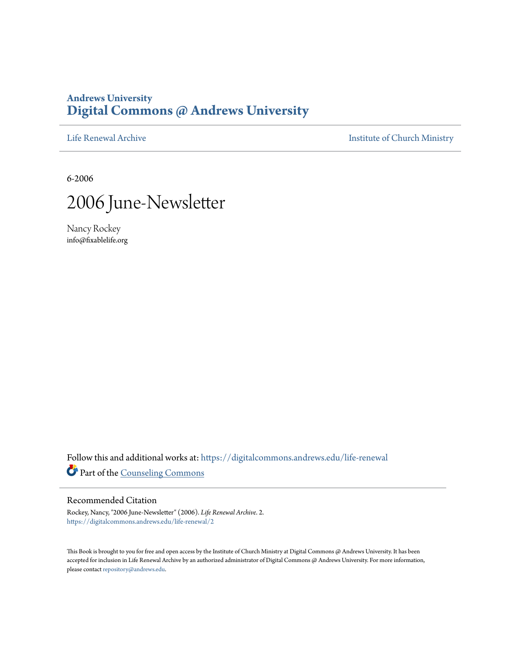### **Andrews University [Digital Commons @ Andrews University](https://digitalcommons.andrews.edu/?utm_source=digitalcommons.andrews.edu%2Flife-renewal%2F2&utm_medium=PDF&utm_campaign=PDFCoverPages)**

[Life Renewal Archive](https://digitalcommons.andrews.edu/life-renewal?utm_source=digitalcommons.andrews.edu%2Flife-renewal%2F2&utm_medium=PDF&utm_campaign=PDFCoverPages) **[Institute of Church Ministry](https://digitalcommons.andrews.edu/icm?utm_source=digitalcommons.andrews.edu%2Flife-renewal%2F2&utm_medium=PDF&utm_campaign=PDFCoverPages)** 

6-2006



Nancy Rockey info@fixablelife.org

Follow this and additional works at: [https://digitalcommons.andrews.edu/life-renewal](https://digitalcommons.andrews.edu/life-renewal?utm_source=digitalcommons.andrews.edu%2Flife-renewal%2F2&utm_medium=PDF&utm_campaign=PDFCoverPages) Part of the [Counseling Commons](http://network.bepress.com/hgg/discipline/1268?utm_source=digitalcommons.andrews.edu%2Flife-renewal%2F2&utm_medium=PDF&utm_campaign=PDFCoverPages)

#### Recommended Citation

Rockey, Nancy, "2006 June-Newsletter" (2006). *Life Renewal Archive*. 2. [https://digitalcommons.andrews.edu/life-renewal/2](https://digitalcommons.andrews.edu/life-renewal/2?utm_source=digitalcommons.andrews.edu%2Flife-renewal%2F2&utm_medium=PDF&utm_campaign=PDFCoverPages)

This Book is brought to you for free and open access by the Institute of Church Ministry at Digital Commons @ Andrews University. It has been accepted for inclusion in Life Renewal Archive by an authorized administrator of Digital Commons @ Andrews University. For more information, please contact [repository@andrews.edu.](mailto:repository@andrews.edu)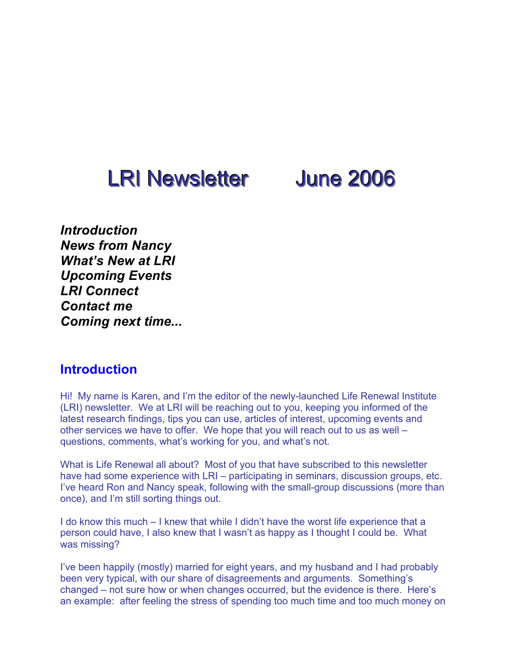# LRI Newsletter June 2006

*Introduction News from Nancy What's New at LRI Upcoming Events LRI Connect Contact me Coming next time...*

### **Introduction**

Hi! My name is Karen, and I'm the editor of the newly-launched Life Renewal Institute (LRI) newsletter. We at LRI will be reaching out to you, keeping you informed of the latest research findings, tips you can use, articles of interest, upcoming events and other services we have to offer. We hope that you will reach out to us as well – questions, comments, what's working for you, and what's not.

What is Life Renewal all about? Most of you that have subscribed to this newsletter have had some experience with LRI – participating in seminars, discussion groups, etc. I've heard Ron and Nancy speak, following with the small-group discussions (more than once), and I'm still sorting things out.

I do know this much – I knew that while I didn't have the worst life experience that a person could have, I also knew that I wasn't as happy as I thought I could be. What was missing?

I've been happily (mostly) married for eight years, and my husband and I had probably been very typical, with our share of disagreements and arguments. Something's changed – not sure how or when changes occurred, but the evidence is there. Here's an example: after feeling the stress of spending too much time and too much money on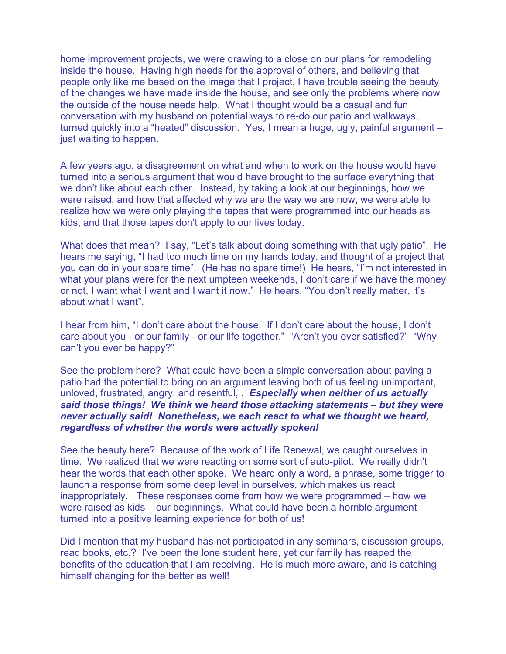home improvement projects, we were drawing to a close on our plans for remodeling inside the house. Having high needs for the approval of others, and believing that people only like me based on the image that I project, I have trouble seeing the beauty of the changes we have made inside the house, and see only the problems where now the outside of the house needs help. What I thought would be a casual and fun conversation with my husband on potential ways to re-do our patio and walkways, turned quickly into a "heated" discussion. Yes, I mean a huge, ugly, painful argument – just waiting to happen.

A few years ago, a disagreement on what and when to work on the house would have turned into a serious argument that would have brought to the surface everything that we don't like about each other. Instead, by taking a look at our beginnings, how we were raised, and how that affected why we are the way we are now, we were able to realize how we were only playing the tapes that were programmed into our heads as kids, and that those tapes don't apply to our lives today.

What does that mean? I say, "Let's talk about doing something with that ugly patio". He hears me saying, "I had too much time on my hands today, and thought of a project that you can do in your spare time". (He has no spare time!) He hears, "I'm not interested in what your plans were for the next umpteen weekends, I don't care if we have the money or not, I want what I want and I want it now." He hears, "You don't really matter, it's about what I want".

I hear from him, "I don't care about the house. If I don't care about the house, I don't care about you - or our family - or our life together." "Aren't you ever satisfied?" "Why can't you ever be happy?"

See the problem here? What could have been a simple conversation about paving a patio had the potential to bring on an argument leaving both of us feeling unimportant, unloved, frustrated, angry, and resentful, . *Especially when neither of us actually said those things! We think we heard those attacking statements – but they were never actually said! Nonetheless, we each react to what we thought we heard, regardless of whether the words were actually spoken!*

See the beauty here? Because of the work of Life Renewal, we caught ourselves in time. We realized that we were reacting on some sort of auto-pilot. We really didn't hear the words that each other spoke. We heard only a word, a phrase, some trigger to launch a response from some deep level in ourselves, which makes us react inappropriately. These responses come from how we were programmed – how we were raised as kids – our beginnings. What could have been a horrible argument turned into a positive learning experience for both of us!

Did I mention that my husband has not participated in any seminars, discussion groups, read books, etc.? I've been the lone student here, yet our family has reaped the benefits of the education that I am receiving. He is much more aware, and is catching himself changing for the better as well!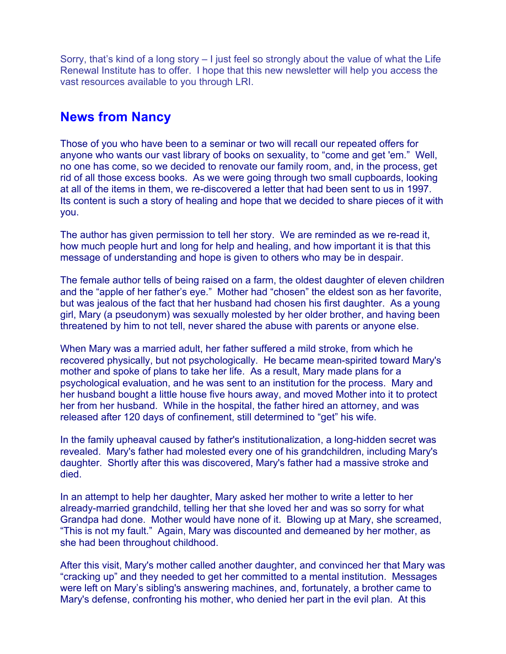Sorry, that's kind of a long story – I just feel so strongly about the value of what the Life Renewal Institute has to offer. I hope that this new newsletter will help you access the vast resources available to you through LRI.

### **News from Nancy**

Those of you who have been to a seminar or two will recall our repeated offers for anyone who wants our vast library of books on sexuality, to "come and get 'em." Well, no one has come, so we decided to renovate our family room, and, in the process, get rid of all those excess books. As we were going through two small cupboards, looking at all of the items in them, we re-discovered a letter that had been sent to us in 1997. Its content is such a story of healing and hope that we decided to share pieces of it with you.

The author has given permission to tell her story. We are reminded as we re-read it, how much people hurt and long for help and healing, and how important it is that this message of understanding and hope is given to others who may be in despair.

The female author tells of being raised on a farm, the oldest daughter of eleven children and the "apple of her father's eye." Mother had "chosen" the eldest son as her favorite, but was jealous of the fact that her husband had chosen his first daughter. As a young girl, Mary (a pseudonym) was sexually molested by her older brother, and having been threatened by him to not tell, never shared the abuse with parents or anyone else.

When Mary was a married adult, her father suffered a mild stroke, from which he recovered physically, but not psychologically. He became mean-spirited toward Mary's mother and spoke of plans to take her life. As a result, Mary made plans for a psychological evaluation, and he was sent to an institution for the process. Mary and her husband bought a little house five hours away, and moved Mother into it to protect her from her husband. While in the hospital, the father hired an attorney, and was released after 120 days of confinement, still determined to "get" his wife.

In the family upheaval caused by father's institutionalization, a long-hidden secret was revealed. Mary's father had molested every one of his grandchildren, including Mary's daughter. Shortly after this was discovered, Mary's father had a massive stroke and died.

In an attempt to help her daughter, Mary asked her mother to write a letter to her already-married grandchild, telling her that she loved her and was so sorry for what Grandpa had done. Mother would have none of it. Blowing up at Mary, she screamed, "This is not my fault." Again, Mary was discounted and demeaned by her mother, as she had been throughout childhood.

After this visit, Mary's mother called another daughter, and convinced her that Mary was "cracking up" and they needed to get her committed to a mental institution. Messages were left on Mary's sibling's answering machines, and, fortunately, a brother came to Mary's defense, confronting his mother, who denied her part in the evil plan. At this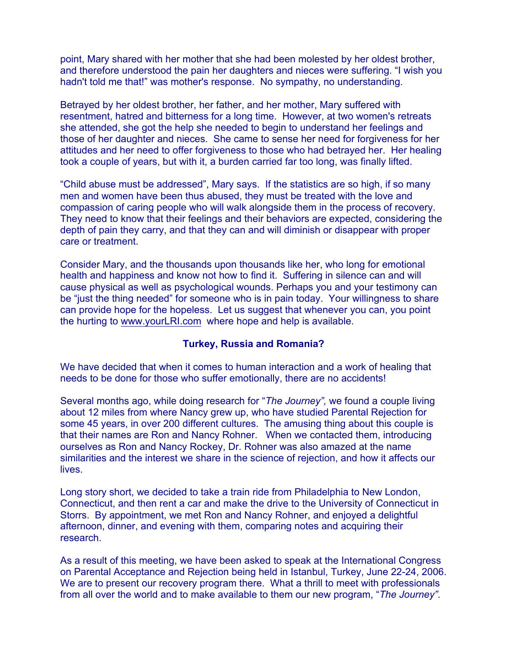point, Mary shared with her mother that she had been molested by her oldest brother, and therefore understood the pain her daughters and nieces were suffering. "I wish you hadn't told me that!" was mother's response. No sympathy, no understanding.

Betrayed by her oldest brother, her father, and her mother, Mary suffered with resentment, hatred and bitterness for a long time. However, at two women's retreats she attended, she got the help she needed to begin to understand her feelings and those of her daughter and nieces. She came to sense her need for forgiveness for her attitudes and her need to offer forgiveness to those who had betrayed her. Her healing took a couple of years, but with it, a burden carried far too long, was finally lifted.

"Child abuse must be addressed", Mary says. If the statistics are so high, if so many men and women have been thus abused, they must be treated with the love and compassion of caring people who will walk alongside them in the process of recovery. They need to know that their feelings and their behaviors are expected, considering the depth of pain they carry, and that they can and will diminish or disappear with proper care or treatment.

Consider Mary, and the thousands upon thousands like her, who long for emotional health and happiness and know not how to find it. Suffering in silence can and will cause physical as well as psychological wounds. Perhaps you and your testimony can be "just the thing needed" for someone who is in pain today. Your willingness to share can provide hope for the hopeless. Let us suggest that whenever you can, you point the hurting to www.yourLRI.com where hope and help is available.

### **Turkey, Russia and Romania?**

We have decided that when it comes to human interaction and a work of healing that needs to be done for those who suffer emotionally, there are no accidents!

Several months ago, while doing research for "*The Journey",* we found a couple living about 12 miles from where Nancy grew up, who have studied Parental Rejection for some 45 years, in over 200 different cultures. The amusing thing about this couple is that their names are Ron and Nancy Rohner. When we contacted them, introducing ourselves as Ron and Nancy Rockey, Dr. Rohner was also amazed at the name similarities and the interest we share in the science of rejection, and how it affects our lives.

Long story short, we decided to take a train ride from Philadelphia to New London, Connecticut, and then rent a car and make the drive to the University of Connecticut in Storrs. By appointment, we met Ron and Nancy Rohner, and enjoyed a delightful afternoon, dinner, and evening with them, comparing notes and acquiring their research.

As a result of this meeting, we have been asked to speak at the International Congress on Parental Acceptance and Rejection being held in Istanbul, Turkey, June 22-24, 2006. We are to present our recovery program there. What a thrill to meet with professionals from all over the world and to make available to them our new program, "*The Journey"*.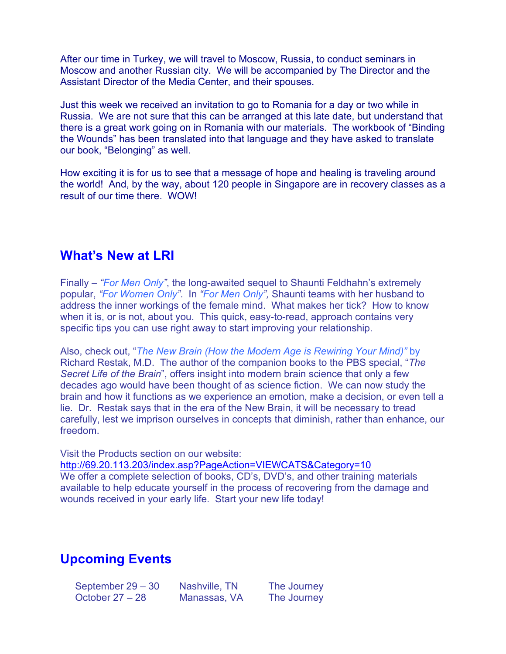After our time in Turkey, we will travel to Moscow, Russia, to conduct seminars in Moscow and another Russian city. We will be accompanied by The Director and the Assistant Director of the Media Center, and their spouses.

Just this week we received an invitation to go to Romania for a day or two while in Russia. We are not sure that this can be arranged at this late date, but understand that there is a great work going on in Romania with our materials. The workbook of "Binding the Wounds" has been translated into that language and they have asked to translate our book, "Belonging" as well.

How exciting it is for us to see that a message of hope and healing is traveling around the world! And, by the way, about 120 people in Singapore are in recovery classes as a result of our time there. WOW!

### **What's New at LRI**

Finally – *"For Men Only"*, the long-awaited sequel to Shaunti Feldhahn's extremely popular, *"For Women Only"*. In *"For Men Only",* Shaunti teams with her husband to address the inner workings of the female mind. What makes her tick? How to know when it is, or is not, about you. This quick, easy-to-read, approach contains very specific tips you can use right away to start improving your relationship.

Also, check out, "*The New Brain (How the Modern Age is Rewiring Your Mind)"* by Richard Restak, M.D. The author of the companion books to the PBS special, "*The Secret Life of the Brain*", offers insight into modern brain science that only a few decades ago would have been thought of as science fiction. We can now study the brain and how it functions as we experience an emotion, make a decision, or even tell a lie. Dr. Restak says that in the era of the New Brain, it will be necessary to tread carefully, lest we imprison ourselves in concepts that diminish, rather than enhance, our freedom.

Visit the Products section on our website: http://69.20.113.203/index.asp?PageAction=VIEWCATS&Category=10 We offer a complete selection of books, CD's, DVD's, and other training materials available to help educate yourself in the process of recovering from the damage and wounds received in your early life. Start your new life today!

## **Upcoming Events**

September 29 – 30 Nashville, TN The Journey<br>October 27 – 28 Manassas, VA The Journey

Manassas, VA The Journey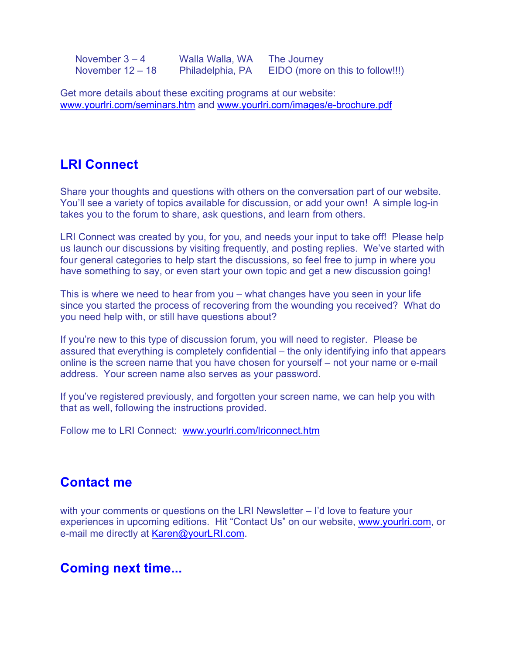| November $3 - 4$   | Walla Walla, WA  | The Journey                      |
|--------------------|------------------|----------------------------------|
| November $12 - 18$ | Philadelphia, PA | EIDO (more on this to follow!!!) |

Get more details about these exciting programs at our website: www.yourlri.com/seminars.htm and www.yourlri.com/images/e-brochure.pdf

### **LRI Connect**

Share your thoughts and questions with others on the conversation part of our website. You'll see a variety of topics available for discussion, or add your own! A simple log-in takes you to the forum to share, ask questions, and learn from others.

LRI Connect was created by you, for you, and needs your input to take off! Please help us launch our discussions by visiting frequently, and posting replies. We've started with four general categories to help start the discussions, so feel free to jump in where you have something to say, or even start your own topic and get a new discussion going!

This is where we need to hear from you – what changes have you seen in your life since you started the process of recovering from the wounding you received? What do you need help with, or still have questions about?

If you're new to this type of discussion forum, you will need to register. Please be assured that everything is completely confidential – the only identifying info that appears online is the screen name that you have chosen for yourself – not your name or e-mail address. Your screen name also serves as your password.

If you've registered previously, and forgotten your screen name, we can help you with that as well, following the instructions provided.

Follow me to LRI Connect: www.yourlri.com/lriconnect.htm

### **Contact me**

with your comments or questions on the LRI Newsletter – I'd love to feature your experiences in upcoming editions. Hit "Contact Us" on our website, www.yourlri.com, or e-mail me directly at Karen@yourLRI.com.

### **Coming next time...**